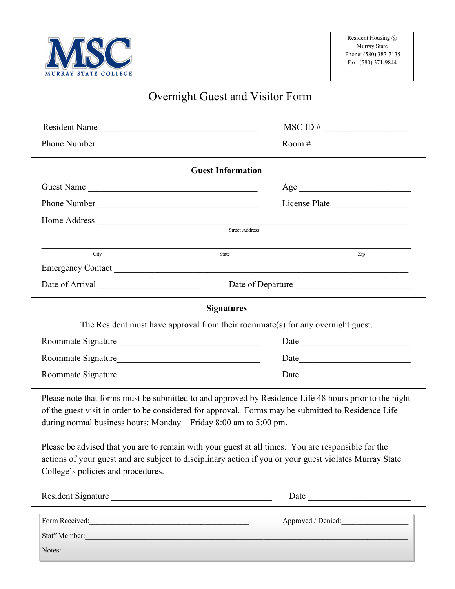

## Overnight Guest and Visitor Form

| Resident Name                                                                   | $MSCID \#$             |  |
|---------------------------------------------------------------------------------|------------------------|--|
| Phone Number                                                                    | Room # $\qquad \qquad$ |  |
| <b>Guest Information</b>                                                        |                        |  |
| Guest Name                                                                      | Age                    |  |
| Phone Number                                                                    | License Plate          |  |
|                                                                                 |                        |  |
| <b>Street Address</b>                                                           |                        |  |
| City<br>State                                                                   | Zip                    |  |
|                                                                                 |                        |  |
|                                                                                 | Date of Departure      |  |
| <b>Signatures</b>                                                               |                        |  |
| The Resident must have approval from their roommate(s) for any overnight guest. |                        |  |
| Roommate Signature                                                              |                        |  |
| Roommate Signature                                                              | Date                   |  |
| Roommate Signature                                                              | Date                   |  |

Please note that forms must be submitted to and approved by Residence Life 48 hours prior to the night of the guest visit in order to be considered for approval. Forms may be submitted to Residence Life during normal business hours: Monday—Friday 8:00 am to 5:00 pm.

Please be advised that you are to remain with your guest at all times. You are responsible for the actions of your guest and are subject to disciplinary action if you or your guest violates Murray State College's policies and procedures.

| <b>Resident Signature</b>       | Date               |
|---------------------------------|--------------------|
| Form Received:<br>Staff Member: | Approved / Denied: |
| Notes:                          |                    |